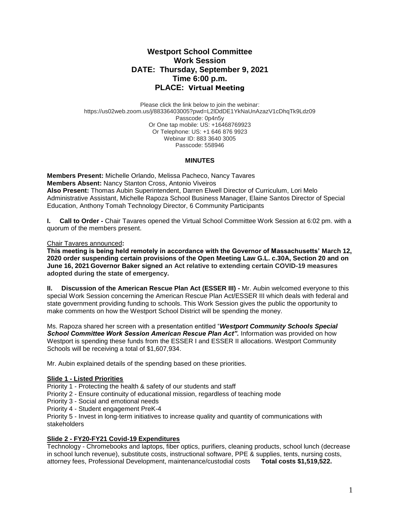# **Westport School Committee Work Session DATE: Thursday, September 9, 2021 Time 6:00 p.m. PLACE: Virtual Meeting**

Please click the link below to join the webinar: https://us02web.zoom.us/j/88336403005?pwd=L2lDdDE1YkNaUnAzazV1cDhqTk9Ldz09 Passcode: 0p4n5y Or One tap mobile: US: +16468769923 Or Telephone: US: +1 646 876 9923 Webinar ID: 883 3640 3005 Passcode: 558946

### **MINUTES**

**Members Present:** Michelle Orlando, Melissa Pacheco, Nancy Tavares **Members Absent:** Nancy Stanton Cross, Antonio Viveiros **Also Present:** Thomas Aubin Superintendent, Darren Elwell Director of Curriculum, Lori Melo Administrative Assistant, Michelle Rapoza School Business Manager, Elaine Santos Director of Special Education, Anthony Tomah Technology Director, 6 Community Participants

**I. Call to Order -** Chair Tavares opened the Virtual School Committee Work Session at 6:02 pm. with a quorum of the members present.

### Chair Tavares announced**:**

**This meeting is being held remotely in accordance with the Governor of Massachusetts' March 12, 2020 order suspending certain provisions of the Open Meeting Law G.L. c.30A, Section 20 and on June 16, 2021 Governor Baker signed an Act relative to extending certain COVID-19 measures adopted during the state of emergency.**

**II. Discussion of the American Rescue Plan Act (ESSER III) -** Mr. Aubin welcomed everyone to this special Work Session concerning the American Rescue Plan Act/ESSER III which deals with federal and state government providing funding to schools. This Work Session gives the public the opportunity to make comments on how the Westport School District will be spending the money.

Ms. Rapoza shared her screen with a presentation entitled "*Westport Community Schools Special School Committee Work Session American Rescue Plan Act".* Information was provided on how Westport is spending these funds from the ESSER I and ESSER II allocations. Westport Community Schools will be receiving a total of \$1,607,934.

Mr. Aubin explained details of the spending based on these priorities.

# **Slide 1 - Listed Priorities**

Priority 1 - Protecting the health & safety of our students and staff

- Priority 2 Ensure continuity of educational mission, regardless of teaching mode
- Priority 3 Social and emotional needs

Priority 4 - Student engagement PreK-4

Priority 5 - Invest in long-term initiatives to increase quality and quantity of communications with stakeholders

# **Slide 2 - FY20-FY21 Covid-19 Expenditures**

Technology - Chromebooks and laptops, fiber optics, purifiers, cleaning products, school lunch (decrease in school lunch revenue), substitute costs, instructional software, PPE & supplies, tents, nursing costs, attorney fees, Professional Development, maintenance/custodial costs **Total costs \$1,519,522.**